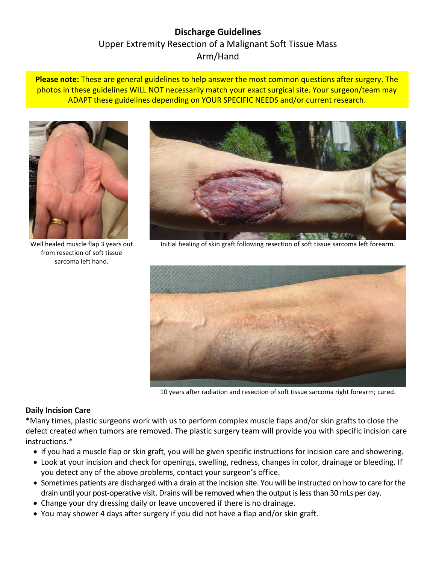# **Discharge Guidelines** Upper Extremity Resection of a Malignant Soft Tissue Mass Arm/Hand

**Please note:** These are general guidelines to help answer the most common questions after surgery. The photos in these guidelines WILL NOT necessarily match your exact surgical site. Your surgeon/team may ADAPT these guidelines depending on YOUR SPECIFIC NEEDS and/or current research.



Well healed muscle flap 3 years out from resection of soft tissue sarcoma left hand.



Initial healing of skin graft following resection of soft tissue sarcoma left forearm.



10 years after radiation and resection of soft tissue sarcoma right forearm; cured.

#### **Daily Incision Care**

\*Many times, plastic surgeons work with us to perform complex muscle flaps and/or skin grafts to close the defect created when tumors are removed. The plastic surgery team will provide you with specific incision care instructions.\*

- If you had a muscle flap or skin graft, you will be given specific instructions for incision care and showering.
- Look at your incision and check for openings, swelling, redness, changes in color, drainage or bleeding. If you detect any of the above problems, contact your surgeon's office.
- Sometimes patients are discharged with a drain at the incision site. You will be instructed on how to care for the drain until your post-operative visit. Drains will be removed when the output is less than 30 mLs per day.
- Change your dry dressing daily or leave uncovered if there is no drainage.
- You may shower 4 days after surgery if you did not have a flap and/or skin graft.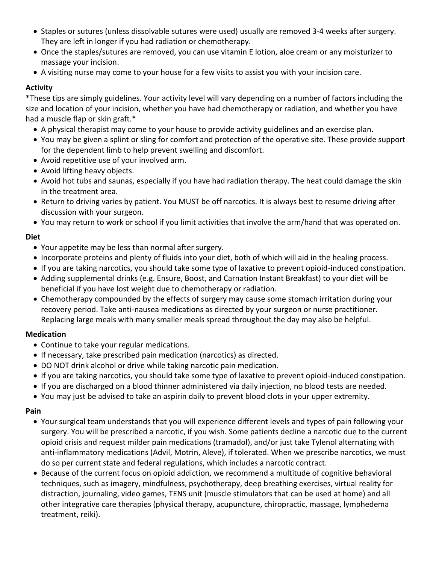- Staples or sutures (unless dissolvable sutures were used) usually are removed 3-4 weeks after surgery. They are left in longer if you had radiation or chemotherapy.
- Once the staples/sutures are removed, you can use vitamin E lotion, aloe cream or any moisturizer to massage your incision.
- A visiting nurse may come to your house for a few visits to assist you with your incision care.

## **Activity**

\*These tips are simply guidelines. Your activity level will vary depending on a number of factors including the size and location of your incision, whether you have had chemotherapy or radiation, and whether you have had a muscle flap or skin graft.\*

- A physical therapist may come to your house to provide activity guidelines and an exercise plan.
- You may be given a splint or sling for comfort and protection of the operative site. These provide support for the dependent limb to help prevent swelling and discomfort.
- Avoid repetitive use of your involved arm.
- Avoid lifting heavy objects.
- Avoid hot tubs and saunas, especially if you have had radiation therapy. The heat could damage the skin in the treatment area.
- Return to driving varies by patient. You MUST be off narcotics. It is always best to resume driving after discussion with your surgeon.
- You may return to work or school if you limit activities that involve the arm/hand that was operated on.

## **Diet**

- Your appetite may be less than normal after surgery.
- Incorporate proteins and plenty of fluids into your diet, both of which will aid in the healing process.
- If you are taking narcotics, you should take some type of laxative to prevent opioid-induced constipation.
- Adding supplemental drinks (e.g. Ensure, Boost, and Carnation Instant Breakfast) to your diet will be beneficial if you have lost weight due to chemotherapy or radiation.
- Chemotherapy compounded by the effects of surgery may cause some stomach irritation during your recovery period. Take anti-nausea medications as directed by your surgeon or nurse practitioner. Replacing large meals with many smaller meals spread throughout the day may also be helpful.

### **Medication**

- Continue to take your regular medications.
- If necessary, take prescribed pain medication (narcotics) as directed.
- DO NOT drink alcohol or drive while taking narcotic pain medication.
- If you are taking narcotics, you should take some type of laxative to prevent opioid-induced constipation.
- If you are discharged on a blood thinner administered via daily injection, no blood tests are needed.
- You may just be advised to take an aspirin daily to prevent blood clots in your upper extremity.

### **Pain**

- Your surgical team understands that you will experience different levels and types of pain following your surgery. You will be prescribed a narcotic, if you wish. Some patients decline a narcotic due to the current opioid crisis and request milder pain medications (tramadol), and/or just take Tylenol alternating with anti-inflammatory medications (Advil, Motrin, Aleve), if tolerated. When we prescribe narcotics, we must do so per current state and federal regulations, which includes a narcotic contract.
- Because of the current focus on opioid addiction, we recommend a multitude of cognitive behavioral techniques, such as imagery, mindfulness, psychotherapy, deep breathing exercises, virtual reality for distraction, journaling, video games, TENS unit (muscle stimulators that can be used at home) and all other integrative care therapies (physical therapy, acupuncture, chiropractic, massage, lymphedema treatment, reiki).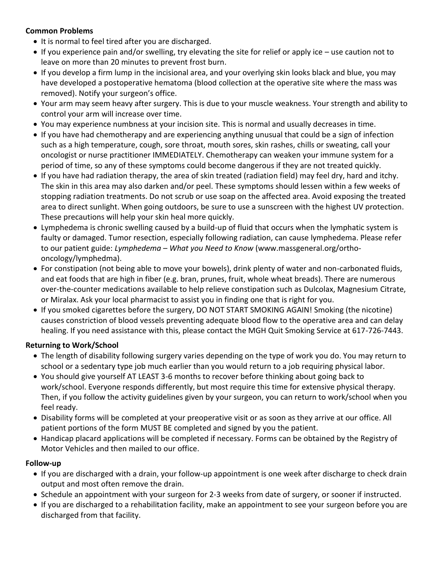## **Common Problems**

- It is normal to feel tired after you are discharged.
- If you experience pain and/or swelling, try elevating the site for relief or apply ice use caution not to leave on more than 20 minutes to prevent frost burn.
- If you develop a firm lump in the incisional area, and your overlying skin looks black and blue, you may have developed a postoperative hematoma (blood collection at the operative site where the mass was removed). Notify your surgeon's office.
- Your arm may seem heavy after surgery. This is due to your muscle weakness. Your strength and ability to control your arm will increase over time.
- You may experience numbness at your incision site. This is normal and usually decreases in time.
- If you have had chemotherapy and are experiencing anything unusual that could be a sign of infection such as a high temperature, cough, sore throat, mouth sores, skin rashes, chills or sweating, call your oncologist or nurse practitioner IMMEDIATELY. Chemotherapy can weaken your immune system for a period of time, so any of these symptoms could become dangerous if they are not treated quickly.
- If you have had radiation therapy, the area of skin treated (radiation field) may feel dry, hard and itchy. The skin in this area may also darken and/or peel. These symptoms should lessen within a few weeks of stopping radiation treatments. Do not scrub or use soap on the affected area. Avoid exposing the treated area to direct sunlight. When going outdoors, be sure to use a sunscreen with the highest UV protection. These precautions will help your skin heal more quickly.
- Lymphedema is chronic swelling caused by a build-up of fluid that occurs when the lymphatic system is faulty or damaged. Tumor resection, especially following radiation, can cause lymphedema. Please refer to our patient guide: *Lymphedema – What you Need to Know* (www.massgeneral.org/orthooncology/lymphedma).
- For constipation (not being able to move your bowels), drink plenty of water and non-carbonated fluids, and eat foods that are high in fiber (e.g. bran, prunes, fruit, whole wheat breads). There are numerous over-the-counter medications available to help relieve constipation such as Dulcolax, Magnesium Citrate, or Miralax. Ask your local pharmacist to assist you in finding one that is right for you.
- If you smoked cigarettes before the surgery, DO NOT START SMOKING AGAIN! Smoking (the nicotine) causes constriction of blood vessels preventing adequate blood flow to the operative area and can delay healing. If you need assistance with this, please contact the MGH Quit Smoking Service at 617-726-7443.

### **Returning to Work/School**

- The length of disability following surgery varies depending on the type of work you do. You may return to school or a sedentary type job much earlier than you would return to a job requiring physical labor.
- You should give yourself AT LEAST 3-6 months to recover before thinking about going back to work/school. Everyone responds differently, but most require this time for extensive physical therapy. Then, if you follow the activity guidelines given by your surgeon, you can return to work/school when you feel ready.
- Disability forms will be completed at your preoperative visit or as soon as they arrive at our office. All patient portions of the form MUST BE completed and signed by you the patient.
- Handicap placard applications will be completed if necessary. Forms can be obtained by the Registry of Motor Vehicles and then mailed to our office.

## **Follow-up**

- If you are discharged with a drain, your follow-up appointment is one week after discharge to check drain output and most often remove the drain.
- Schedule an appointment with your surgeon for 2-3 weeks from date of surgery, or sooner if instructed.
- If you are discharged to a rehabilitation facility, make an appointment to see your surgeon before you are discharged from that facility.